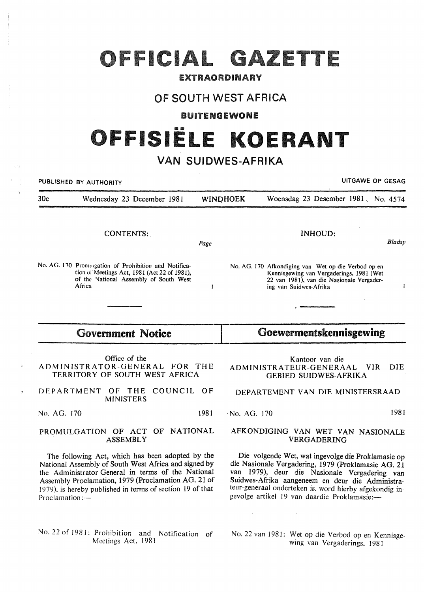# OFFICIAL GAZETTE

### EXTRAORDINARY

## OF SOUTH WEST AFRICA

#### BUITENGEWONE

# FFISIËLE KOERANT

# VAN **SUIDWES-AFRIKA**

PUBLISHED BY AUTHORITY **NAMEL SERVICE SERVICE SERVICE SERVICE SERVICE SERVICE SERVICE OF GESAG** 30c Wednesday 23 December 1981 WINDHOEK Woensdag 23 Desember 1981, No. 4574 CONTENTS: INHOUD: *Bladsy*  Page No. AG. 170 Promugation of Prohibition and Notifica-No. AG. 170 Afkondiging van Wet op die Verbod open tion uf Meetings Act, 1981 (Act 22 of 1981), Kennisgewing van Vergaderings, 1981 (Wet of the National Assembly of South West 22 van 1981), van die Nasionale Vergader-Africa  $\mathbf{1}$ ing van Suidwes-Afrika 1 Government Notice  $\blacksquare$  Goewermentskennisgewing Office of the Kantoor van die ADMINISTRATOR-GENERAL FOR THE ADMINISTRATEUR-GENERAAL VIR DIE TERRITORY OF SOUTH WEST AFRICA GEBIED SUIDWES-AFRIKA DEPARTMENT OF THE COUNCIL OF DEPARTEMENT VAN DIE MINISTERSRAAD MINISTERS ·No. AG. 170 1981 No. AG. 170 1981 PROMULGATION OF ACT OF NATIONAL AFKONDIGING VAN WET VAN NASIONALE ASSEMBLY VERGADERING The following Act, which has been adopted by the Die volgende Wet, wat ingevolge die Proklamasie op National Assembly of South West Africa and signed by die Nasionale Vergadering, 1979 (Proklamasie AG. 21 the Administrator-General in terms of the National van 1979), deur die Nasionale Vergadering van Assembly Proclamation, 1979 (Proclamation AG. 21 of Suidwes-Afrika aangeneem en deur die Administrateur-generaal onderteken is, word hierby afgekondig in-1979), is hereby published in terms of section 19 of that gevolge artikel 19 van daardie Proklamasie:-Proclamation:-No. 22 of 1981: Prohibition and Notification of No. 22 van 1981: Wet op die Verbod op en Kennisge-

wing van Vergaderings, 1981

Meetings Act, 1981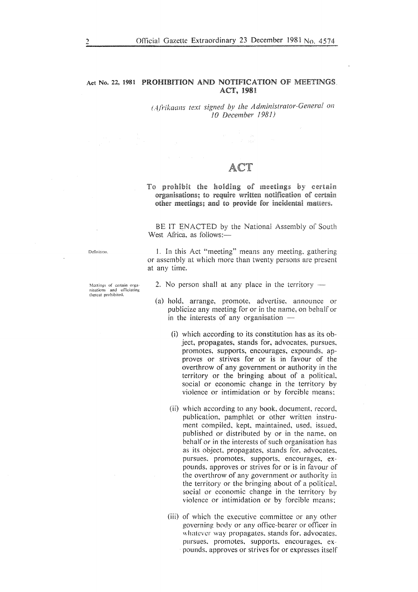#### Act No. 22, 1981 PROHIBITION AND NOTIFICATION OF MEETINGS ACT, 1981

*(Afrikaans text signed by the Administrator-General on I 0 December 1981)* 

# To prohibit the holding of meetings by certain<br>organisations; to require written notification of certain other meetings; and to provide for incidental matters.

BE IT ENACTED by the National Assembly of South West Africa, as follows:-

Definition. 1. In this Act "meeting" means any meeting, gathering

misations and officiating thereat prohibited.

at any time.

Meetings of certain orga<sup>2</sup> 2. No person shall at any place in the territory --

or assembly at which more than twenty persons are present

- (a) hold, arrange, promote, advertise, announce or publicize any meeting for or in the name, on behalf or in the interests of any organisation  $-$ 
	- (i) which according to its constitution has as its object, propagates, stands for, advocates, pursues, promotes, supports, encourages, expounds, approves or strives for or is in favour of the overthrow of any government or authority in the territory or the bringing about of a political. social or economic change in the territory by violence or intimidation or by forcible means:
	- (ii) which according to any book, document, record, publication, pamphlet or other written instrument compiled, kept, maintained, used, issued, published or distributed by or in the name. on behalf or in the interests of such organisation has as its object, propagates, stands for, advocates. pursues. promotes, supports, encourages, expounds, approves or strives for or is in favour of the overthrow of any government or authority in the territory or the bringing about of a political. social or economic change in the territory by violence or intimidation or by forcible means:
	- (iii) of which the executive committee or any other governing body or any office-bearer or officer in whatever way propagates, stands for. advocates. pursues. promotes, supports, encourages, expounds, approves or strives for or expresses itse!f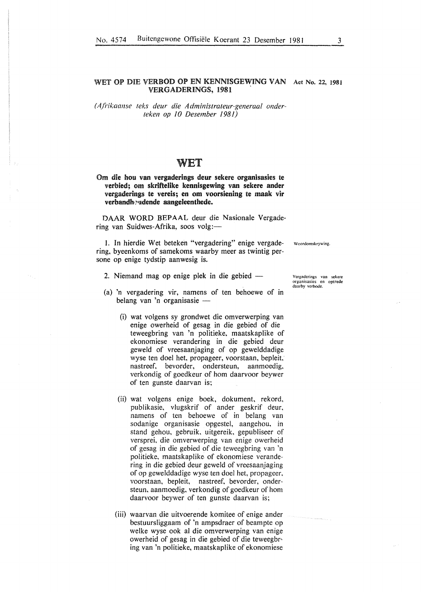*( A.frikaanse teks deur die A dministrateur-generaal onderteken op 10 Desember 1981)* 

### WET

#### Om die hou van vergaderings deur sekere organisasies te verbied; om skriftelike kennisgewing van sekere ander vergaderings te vereis; en om voorsiening te maak vir verbandhoudende aangeleenthede.

DAAR WORD BEPAAL deur die Nasionale Vergadering van Suidwes-Afrika, soos volg:-

I. In hierdie Wet beteken "vergadering" enige vergadering, byeenkoms of samekoms waarby meer as twintig persone op enige tydstip aanwesig is.

Woordomskrywing.

- 2. Niemand mag op enige plek in die gebied -
- (a) 'n vergadering vir, namens of ten behoewe of in belang van 'n organisasie -
	- (i) wat volgens sy grondwet die omverwerping van enige owerheid of gesag in die gebied of die teweegbring van 'n politieke, maatskaplike of ekonomiese verandering in die gebied deur geweld of vreesaanjaging of op gewelddadige wyse ten doe! het, propageer, voorstaan, bepleit,' nastreef, bevorder, ondersteun, aanmoedig, verkondig of goedkeur of hom daarvoor beywer of ten gunste daarvan is;
	- (ii) wat volgens enige boek, dokument, rekord, publikasie, vlugskrif of ander geskrif deur, namens of ten behoewe of in belang van sodanige organisasie opgestel, aangehou, in stand gehou, gebruik, uitgereik, gepubliseer of versprei, die omverwerping van enige owerheid of gesag in die gebied of die teweegbring van 'n politieke, maatskaplike of ekonomiese verandering in die gebied deur geweld of vreesaanjaging of op gewelddadige wyse ten doel het, propageer, voorstaan, bepleit, nastreef, bevorder, ondersteun, aanmoedig, verkondig of goedkeur of hom daarvoor beywer of ten gunste daarvan is;
	- (iii) waarvan die uitvoerende komitee of enige ander bestuursliggaam of 'n ampsdraer of beampte op welke wyse ook al die omverwerping van enige owerheid of gesag in die gebied of die teweegbring van 'n politieke, maatskaplike of ekonomiese

Vcrgaderings van sekere organisasies en optrede daarby verbode.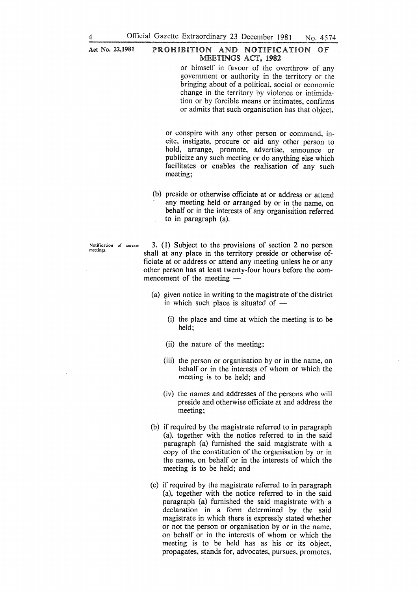#### Act No. 22,1981 PROHIBITION AND NOTIFICATION OF MEETINGS ACT, 1982

or himself in favour of the overthrow of any government or authority in the territory or the bringing about of a political, social or economic change in the territory by violence or intimidation or by forcible means or intimates, confirms or admits that such organisation has that object,

or conspire with any other person or command, incite, instigate, procure or aid any other person to hold, arrange, promote, advertise, announce or publicize any such meeting or do anything else which facilitates or enables the realisation of any such meeting;

(b) preside or otherwise officiate at or address or attend any meeting held or arranged by or in the name, on behalf or in the interests of any organisation referred to in paragraph (a).

**Notification of cenam meetings.** 

3. ( 1) Subject to the provisions of section 2 no person shall at any place in the territory preside or otherwise officiate at or address or attend any meeting unless he or any other person has at least twenty-four hours before the commencement of the meeting  $-$ 

- (a) given notice in writing to the magistrate of the district in which such place is situated of  $-$ 
	- (i) the place and time at which the meeting is to be held;
	- (ii) the nature of the meeting;
	- (iii) the person or organisation by or in the name, on behalf or in the interests of whom or which the meeting is to be held; and
	- (iv) the names and addresses of the persons who will preside and otherwise officiate at and address the meeting;
- (b) if required by the magistrate referred to in paragraph (a). together with the notice referred to in the said paragraph (a) furnished the said magistrate with a copy of the constitution of the organisation by or in the name, on behalf or in the interests of which the meeting is to be held; and
- (c) if required by the magistrate referred to in paragraph (a), together with the notice referred to in the said paragraph (a) furnished the said magistrate with a declaration in a form determined by the said magistrate in which there is expressly stated whether or not the person or organisation by or in the name, on behalf or in the interests of whom or which the meeting is to be held has as his or its object, propagates, stands for, advocates, pursues, promotes,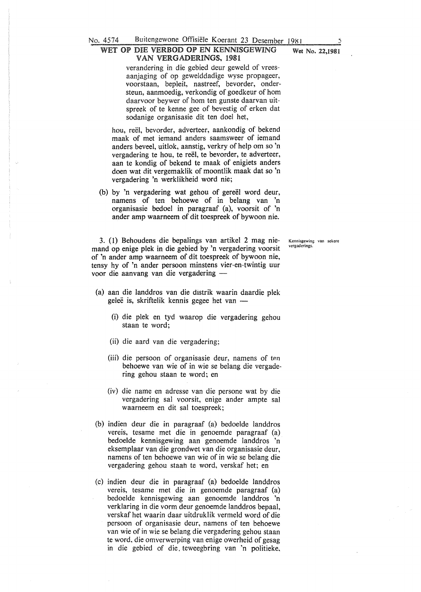#### WET OP DIE VERBOD OP EN KENNISGEWING Wet No. 22,1981 VAN VERGADERINGS. 1981

verandering in die gebied deur geweld of vreesaanjaging of op gewelddadige wyse propageer, voorstaan, bepleit, nastreef, bevorder, ondersteun, aanmoedig, verkondig of goedkeur of hom daarvoor beywer of hom ten gunste daarvan uitspreek of te kenne gee of bevestig of erken dat sodanige organisasie dit ten doe! het,

hou, reël, bevorder, adverteer, aankondig of bekend maak of met iemand anders saamsweer of iemand anders beveel, uitlok, aanstig, verkry of help om so 'n vergadering te hou, te reël, te bevorder, te adverteer, aan te kondig of bekend te maak of enigiets anders doen wat dit vergemaklik of moontlik maak dat so 'n vergadering 'n werklikheid word nie;

(b) by 'n vergadering wat gehou of gereël word deur, namens of ten behoewe of in belang van 'n organisasie bedoel in paragraaf (a), voorsit of 'n ander amp waarneem of dit toespreek of bywoon nie.

3. (1) Behoudens die bepalings van artikel 2 mag niemand op enige plek in die gebied by 'n vergadering voorsit of 'n ander amp waarneem of dit toespreek of bywoon nie, tensy hy of 'n ander persoon minstens vier-en-twintig uur voor die aanvang van die vergadering -

- (a) aan die landdros van die distrik waarin daardie plek geleë is, skriftelik kennis gegee het van -
	- (i) die plek en tyd waarop die vergadering gehou staan te word;
	- (ii) die aard van die vergadering;
	- (iii) die persoon of organisasie deur, namens of ten behoewe van wie of in wie se belang die vergadering gehou staan te word; en
	- (iv) die name en adresse van die persone wat by die vergadering sal voorsit, enige ander ampte sal waarneem en dit sal toespreek;
- (b) indien deur die in paragraaf (a) bedoelde landdros vereis, tesame met die in genoemde paragraaf (a) bedoelde kennisgewing aan genoemde landdros 'n eksemplaar van die grondwet van die organisasie deur, namens of ten behoewe van wie of in wie se belang die vergadering gehou staah te word, verskaf het; en
- (c) indien deur die in paragraaf (a) bedoelde landdros vereis, tesame met die in genoemde paragraaf (a) bedoelde kennisgewing aan genoemde landdros 'n verklaring in die vorm deur genoemde landdros bepaal, verskaf het waarin daar uitdruklik vermeld word of die persoon of organisasie deur, namens of ten behoewe van wie of in wie se belang die vergadering gehou staan te word, die omverwerping van enige owerheid of gesag in die gebied of die, teweegbring van 'n politieke,

**Kennisgewing van sekere vergaderings.**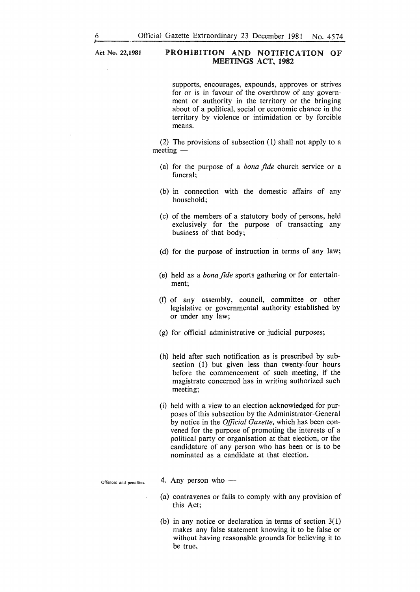Act No. 22,1981

#### PROHIBITION AND NOTIFICATION OF MEETINGS ACT, 1982

supports, encourages, expounds, approves or strives for or is in favour of the overthrow of any government or authority in the territory or the bringing about of a political, social or economic chance in the territory by violence or intimidation or by forcible means.

(2) The provisions of subsection (1) shall not apply to a  $m$ eeting  $-$ 

- (a) for the purpose of a *bona fide* church service or a funeral;
- (b) in connection with the domestic affairs of any household;
- (c) of the members of a statutory body of persons, held exclusively for the purpose of transacting any business of that body;
- (d) for the purpose of instruction in terms of any law;
- (e) held as a *bonafide* sports gathering or for entertainment;
- (f) of any assembly, council, committee or other legislative or governmental authority established by or under any law;
- (g) for official administrative or judicial purposes;
- (h) held after such notification as is prescribed by subsection (1) but given less than twenty-four hours before the commencement of such meeting, if the magistrate concerned has in writing authorized such meeting;
- (i) held with a view to an election acknowledged for purposes of this subsection by the Administrator-General by notice in the *Official Gazette,* which has been convened for the purpose of promoting the interests of a political party or organisation at that election, or the candidature of any person who has been or is to be nominated as a candidate at that election.

**Offences and penalties.** 

- 4. Any person who  $-$
- (a) contravenes or fails to comply with any provision of this Act;
- (b) in any notice or declaration in terms of section 3(1) makes any false statement knowing it to be false or without having reasonable grounds for believing it to be true,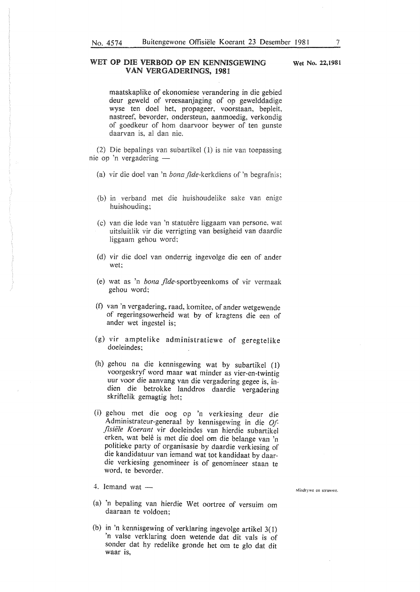#### WET OP DIE VERBOD OP EN KENNISGEWING VAN VERGADERINGS, 1981

maatskaplike of ekonomiese verandering in die gebied deur geweld of vreesaanjaging of op gewelddadige wyse ten doe! het, propageer, voorstaan, bepleit, nastreef, bevorder, ondersteun, aanmoedig, verkondig of goedkeur of hom daarvoor beywer of ten gunste daarvan is, a! dan nie.

(2) Die bepalings van subartikel (1) is nie van toepassing nie op 'n vergadering -

- (a) vir die doel van 'n *bona fide-kerkdiens of* 'n begrafnis:
- (b) in verband met huishoudelike sake van huishouding;
- (c) van die lede van 'n statutere liggaam van persone, wat uitsluitlik vir die verrigting van besigheid van daardie liggaam gehou word;
- (d) vir die doe! van onderrig ingevolge die een of ander wet;
- (e) wat as 'n *bona* .fide-sportbyeenkoms of vir vermaak gehou word;
- (t) van 'n vergadering, raad, komitee, of ander wetgewende of regeringsowerheid wat by of kragtens die een of ander wet ingestel is;
- (g) vir amptelike administratiewe of geregtelike doeleindes;
- (h) gehou na die kennisgewing wat by subartikel (1) voorgeskryf word maar wat minder as vier-en-twintig uur voor die aanvang van die vergadering gegee is, indien die betrokke landdros daardie vergadering skriftelik gemagtig het;
- (i) gehou met die oog op 'n verkiesing deur die Administrateur-generaal by kennisgewing in die *Of: fisiiile Koerant* vir doeleindes van hierdie subartikel erken, wat belê is met die doel om die belange van 'n politieke party of organisasie by daardie verkiesing of die kandidatuur van iemand wat tot kandidaat by daardie verkiesing genomineer is of genomineer staan te word, te bevorder.

#### $4.$  lemand wat  $-$

- (a) 'n bepaling van hierdie Wet oortree of versuim om daaraan te voldoen;
- (b) in 'n kennisgewing of verklaring ingevolge artikel 3(1) 'n valse verklaring doen wetende dat dit vals is of sonder dat hy redelike gronde het om te glo dat dit waar is,

**Misdrywe en strawwe.** 

Wet No. 22,1981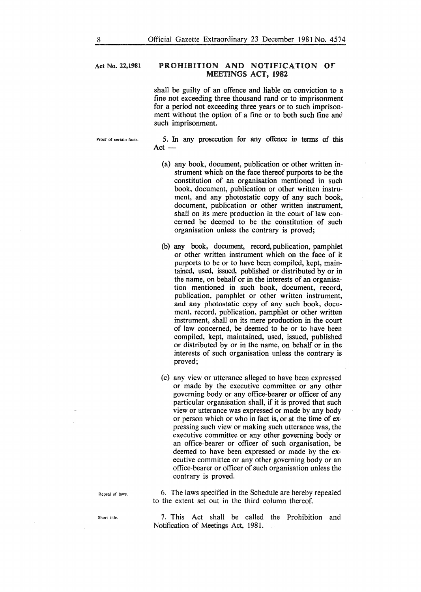#### Act No. 22,1981 PROHIBITION AND NOTIFICATION OF MEETINGS ACT, 1982

shall be guilty of an offence and liable on conviction to a fine not exceeding three thousand rand or to imprisonment for a period not exceeding three years or to such imprisonment without the option of a fine or to both such fine and such imprisonment.

Proof of certain facts.

5. In any prosecution for any offence in terms of this  $Act-$ 

- (a) any book, document, publication or other written instrument which on the face thereof purports to be the constitution of an organisation mentioned in such book, document, publication or other written instrument, and any photostatic copy of any such book, document, publication or other written instrument, shall on its mere production in the court of law concerned be deemed to be the constitution of such organisation unless the contrary is proved;
- (b) any book, document, record, publication, pamphlet or other written instrument which on the face of it purports to be or to have been compiled, kept, maintained, used, issued, published or distributed by or in the name, on behalf or in the interests of an organisation mentioned in such book, document, record, publication, pamphlet or other written instrument, and any photostatic copy of any such book, document, record, publication, pamphlet or other written instrument, shall on its mere production in the court of law concerned, be deemed to be or to have been compiled, kept, maintained, used, issued, published or distributed by or in the name, on behalf or in the interests of such organisation unless the contrary is proved;
- (c) any view or utterance alleged to have been expressed or made by the executive committee or any other governing body or any office-bearer or officer of any particular organisation shall, if it is proved that such view or utterance was expressed or made by any body or person which or who in fact is, or at the time of expressing such view or making such utterance was, the executive committee or any other governing body or an office-bearer or officer of such organisation, be deemed to have been expressed or made by the executive committee or any other governing body or an office-bearer or officer of such organisation unless the contrary is proved.

6. The laws specified in the Schedule are hereby repealed to the extent set out in the third column thereof.

7. This Act shall be catled the Prohibition and Notification of Meetings Act, 1981.

**Repeal** of laws.

Short title.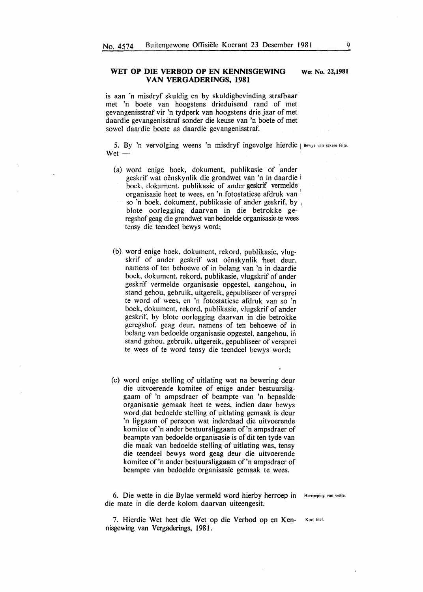#### **WET OP DIE VERBOD OP EN KENNISGEWING VAN VERGADERINGS, 1981**

is aan 'n misdryf skuldig en by skuldigbevinding strafbaar met 'n boete van hoogstens drieduisend rand of met gevangenisstraf vir 'n tydperk van hoogstens drie jaar of met daardie gevangenisstraf sonder die keuse van 'n boete of met sowel daardie boete as daardie gevangenisstraf.

5. By 'n vervolging weens 'n misdryf ingevolge hierdie | Bewys van sekere feite.  $Wet -$ 

- (a) word enige boek, dokument, publikasie of ander geskrif wat oënskynlik die grondwet van 'n in daardie i boek, dokument, publikasie of ander geskrif vermelde organisasie heet te wees, en 'n fotostatiese afdruk van ' so 'n boek, dokument, publikasie of ander geskrif, by blote oorlegging daarvan in die betrokke geregshof geag die grondwet van bedoelde organisasie te wees tensy die teendeel bewys word;
- (b) word enige boek, dokument, rekord, publikasie, vlugskrif of ander geskrif wat oënskynlik heet deur, namens of ten behoewe of in belang van 'n in daardie boek, dokument, rekord, publikasie, vlugskrif of ander geskrif vermelde organisasie opgestel, aangehou, in stand gehou, gebruik, uitgereik, gepubliseer of versprei te word of wees, en 'n fotostatiese afdruk van so 'n boek, dokument, rekord, publikasie, vlugskrif of ander geskrif, by blote oorlegging daarvan in die betrokke geregshof, geag deur, namens of ten behoewe of in belang van bedoelde organisasie opgestel, aangehou, in stand gehou, gebruik, uitgereik, gepubliseer of versprei te wees of te word tensy die teendeel bewys word;
- (c) word enige stelling of uitlating wat na bewering deur die uitvoerende komitee of enige ander bestuursliggaam of 'n ampsdraer of beampte van 'n bepaalde organisasie gemaak heet te wees, indien daar bewys word dat bedoelde stelling of uitlating gemaak is deur 'n liggaam of persoon wat inderdaad die uitvoerende komitee of'n ander bestuursliggaam of'n ampsdraer of beampte van bedoelde organisasie is of dit ten tyde van die maak van bedoelde stelling of uitlating was, tensy die teendeel bewys word geag deur die uitvoerende komitee of'n ander bestuursliggaam of'n ampsdraer of beampte van bedoelde organisasie gemaak te wees.

6. Die wette in die Bylae vermeld word hierby herroep in Herroeping van wette. die mate in die derde kolom daarvan uiteengesit.

7. Hierdie Wet heet die Wet op die Verbod op en Ken- Kort titel. nisgewing van Vergaderings, 1981.

**Wet** No. **22,1981**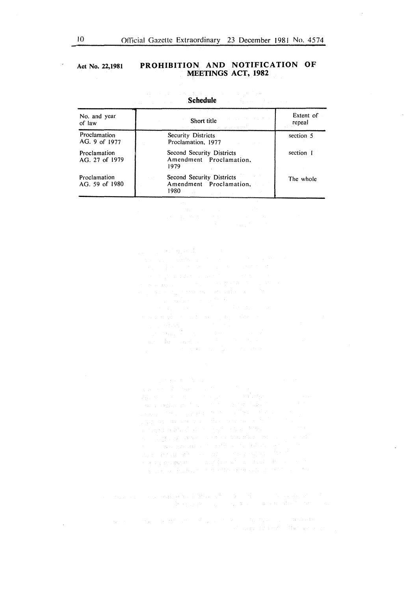$\sim$ 

#### **Act No. 22,1981 PROHIBITION AND NOTIFICATION OF MEETINGS ACT, 1982**

| No. and year<br>of law         | Short title and the state of the state of the state of the state of the state of the state of the state of the<br>おうかい トランフィッシュ しゅういっけんけん | Extent of<br>repeal |
|--------------------------------|-------------------------------------------------------------------------------------------------------------------------------------------|---------------------|
| Proclamation<br>AG. 9 of 1977  | Security Districts<br>Proclamation, 1977                                                                                                  | section 5           |
| Proclamation<br>AG. 27 of 1979 | Second Security Districts<br>Amendment Proclamation.<br>1979                                                                              | section 1           |
| Proclamation<br>AG. 59 of 1980 | Second Security Districts<br>Amendment Proclamation,<br>1980.<br>$\sim$ $\sim$                                                            | The whole           |

**Schedule** 

 $\label{eq:2.1} \begin{split} \mathcal{H}_{\alpha\beta}(\mathbf{r},\mathbf{r},\mathbf{r},\mathbf{r},\mathbf{r},\mathbf{r},\mathbf{r},\mathbf{r},\mathbf{r},\mathbf{r},\mathbf{r},\mathbf{r},\mathbf{r},\mathbf{r},\mathbf{r},\mathbf{r},\mathbf{r},\mathbf{r},\mathbf{r},\mathbf{r},\mathbf{r},\mathbf{r},\mathbf{r},\mathbf{r},\mathbf{r},\mathbf{r},\mathbf{r},\mathbf{r},\mathbf{r},\mathbf{r},\mathbf{r},\mathbf{r},\mathbf$ 

 $\label{eq:2.1} \frac{d\mu}{d\mu} = \frac{1}{2} \left[ \frac{d\mu}{d\mu} \left( \frac{d\mu}{d\mu} \right) \frac{d\mu}{d\mu} \right] \frac{d\mu}{d\mu} \left( \frac{d\mu}{d\mu} \right) \frac{d\mu}{d\mu} \left( \frac{d\mu}{d\mu} \right) \frac{d\mu}{d\mu} \left( \frac{d\mu}{d\mu} \right) \frac{d\mu}{d\mu} \left( \frac{d\mu}{d\mu} \right) \frac{d\mu}{d\mu} \left( \frac{d\mu}{d\mu} \right) \frac{d\mu}{$  $\sim$